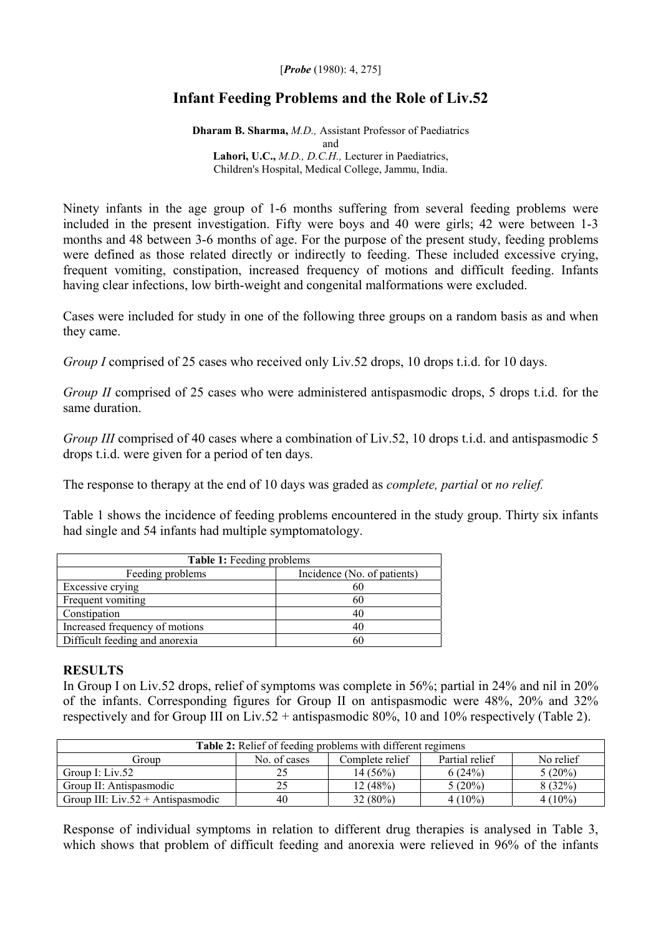## [*Probe* (1980): 4, 275]

## **Infant Feeding Problems and the Role of Liv.52**

**Dharam B. Sharma,** *M.D.,* Assistant Professor of Paediatrics and **Lahori, U.C.,** *M.D., D.C.H.,* Lecturer in Paediatrics, Children's Hospital, Medical College, Jammu, India.

Ninety infants in the age group of 1-6 months suffering from several feeding problems were included in the present investigation. Fifty were boys and 40 were girls; 42 were between 1-3 months and 48 between 3-6 months of age. For the purpose of the present study, feeding problems were defined as those related directly or indirectly to feeding. These included excessive crying, frequent vomiting, constipation, increased frequency of motions and difficult feeding. Infants having clear infections, low birth-weight and congenital malformations were excluded.

Cases were included for study in one of the following three groups on a random basis as and when they came.

*Group I* comprised of 25 cases who received only Liv.52 drops, 10 drops t.i.d. for 10 days.

*Group II* comprised of 25 cases who were administered antispasmodic drops, 5 drops t.i.d. for the same duration.

*Group III* comprised of 40 cases where a combination of Liv.52, 10 drops t.i.d. and antispasmodic 5 drops t.i.d. were given for a period of ten days.

The response to therapy at the end of 10 days was graded as *complete, partial* or *no relief.* 

Table 1 shows the incidence of feeding problems encountered in the study group. Thirty six infants had single and 54 infants had multiple symptomatology.

| Table 1: Feeding problems      |                             |  |  |  |  |  |  |
|--------------------------------|-----------------------------|--|--|--|--|--|--|
| Feeding problems               | Incidence (No. of patients) |  |  |  |  |  |  |
| Excessive crying               | 60                          |  |  |  |  |  |  |
| Frequent vomiting              | 60                          |  |  |  |  |  |  |
| Constipation                   | 40                          |  |  |  |  |  |  |
| Increased frequency of motions | 40                          |  |  |  |  |  |  |
| Difficult feeding and anorexia | 60                          |  |  |  |  |  |  |

## **RESULTS**

In Group I on Liv.52 drops, relief of symptoms was complete in 56%; partial in 24% and nil in 20% of the infants. Corresponding figures for Group II on antispasmodic were 48%, 20% and 32% respectively and for Group III on Liv.52 + antispasmodic 80%, 10 and 10% respectively (Table 2).

| Table 2: Relief of feeding problems with different regimens |              |                 |                |           |  |  |  |
|-------------------------------------------------------------|--------------|-----------------|----------------|-----------|--|--|--|
| Group                                                       | No. of cases | Complete relief | Partial relief | No relief |  |  |  |
| Group I: Liv.52                                             | 25           | 14 (56%)        | 6(24%)         | $5(20\%)$ |  |  |  |
| Group II: Antispasmodic                                     | 25           | 12(48%)         | $5(20\%)$      | 8(32%)    |  |  |  |
| Group III: Liv.52 + Antispasmodic                           | 40           | $32(80\%)$      | $4(10\%)$      | $4(10\%)$ |  |  |  |

Response of individual symptoms in relation to different drug therapies is analysed in Table 3, which shows that problem of difficult feeding and anorexia were relieved in 96% of the infants